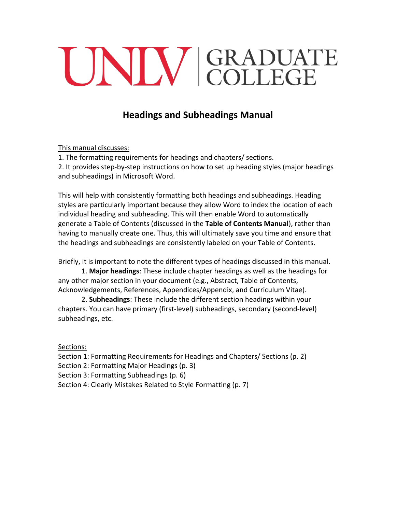# UNIV GRADUATE

# **Headings and Subheadings Manual**

This manual discusses:

1. The formatting requirements for headings and chapters/ sections.

2. It provides step-by-step instructions on how to set up heading styles (major headings and subheadings) in Microsoft Word.

This will help with consistently formatting both headings and subheadings. Heading styles are particularly important because they allow Word to index the location of each individual heading and subheading. This will then enable Word to automatically generate a Table of Contents (discussed in the **Table of Contents Manual**), rather than having to manually create one. Thus, this will ultimately save you time and ensure that the headings and subheadings are consistently labeled on your Table of Contents.

Briefly, it is important to note the different types of headings discussed in this manual.

1. **Major headings**: These include chapter headings as well as the headings for any other major section in your document (e.g., Abstract, Table of Contents, Acknowledgements, References, Appendices/Appendix, and Curriculum Vitae).

2. **Subheadings**: These include the different section headings within your chapters. You can have primary (first-level) subheadings, secondary (second-level) subheadings, etc.

Sections:

Section 1: Formatting Requirements for Headings and Chapters/ Sections (p. 2) Section 2: Formatting Major Headings (p. 3)

Section 3: Formatting Subheadings (p. 6)

Section 4: Clearly Mistakes Related to Style Formatting (p. 7)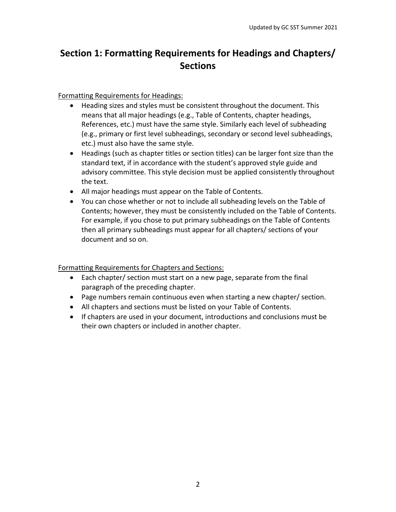# **Section 1: Formatting Requirements for Headings and Chapters/ Sections**

### Formatting Requirements for Headings:

- Heading sizes and styles must be consistent throughout the document. This means that all major headings (e.g., Table of Contents, chapter headings, References, etc.) must have the same style. Similarly each level of subheading (e.g., primary or first level subheadings, secondary or second level subheadings, etc.) must also have the same style.
- Headings (such as chapter titles or section titles) can be larger font size than the standard text, if in accordance with the student's approved style guide and advisory committee. This style decision must be applied consistently throughout the text.
- All major headings must appear on the Table of Contents.
- You can chose whether or not to include all subheading levels on the Table of Contents; however, they must be consistently included on the Table of Contents. For example, if you chose to put primary subheadings on the Table of Contents then all primary subheadings must appear for all chapters/ sections of your document and so on.

### Formatting Requirements for Chapters and Sections:

- Each chapter/ section must start on a new page, separate from the final paragraph of the preceding chapter.
- Page numbers remain continuous even when starting a new chapter/ section.
- All chapters and sections must be listed on your Table of Contents.
- If chapters are used in your document, introductions and conclusions must be their own chapters or included in another chapter.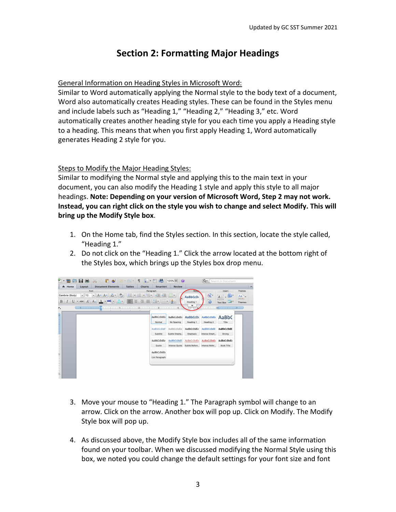# **Section 2: Formatting Major Headings**

### General Information on Heading Styles in Microsoft Word:

Similar to Word automatically applying the Normal style to the body text of a document, Word also automatically creates Heading styles. These can be found in the Styles menu and include labels such as "Heading 1," "Heading 2," "Heading 3," etc. Word automatically creates another heading style for you each time you apply a Heading style to a heading. This means that when you first apply Heading 1, Word automatically generates Heading 2 style for you.

### Steps to Modify the Major Heading Styles:

Similar to modifying the Normal style and applying this to the main text in your document, you can also modify the Heading 1 style and apply this style to all major headings. **Note: Depending on your version of Microsoft Word, Step 2 may not work. Instead, you can right click on the style you wish to change and select Modify. This will bring up the Modify Style box**.

- 1. On the Home tab, find the Styles section. In this section, locate the style called, "Heading 1."
- 2. Do not click on the "Heading 1." Click the arrow located at the bottom right of the Styles box, which brings up the Styles box drop menu.



- 3. Move your mouse to "Heading 1." The Paragraph symbol will change to an arrow. Click on the arrow. Another box will pop up. Click on Modify. The Modify Style box will pop up.
- 4. As discussed above, the Modify Style box includes all of the same information found on your toolbar. When we discussed modifying the Normal Style using this box, we noted you could change the default settings for your font size and font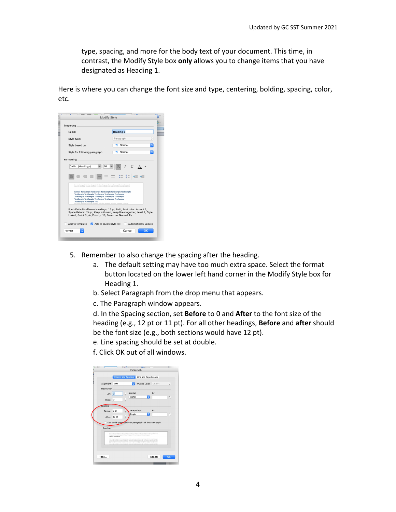type, spacing, and more for the body text of your document. This time, in contrast, the Modify Style box **only** allows you to change items that you have designated as Heading 1.

Here is where you can change the font size and type, centering, bolding, spacing, color, etc.



- 5. Remember to also change the spacing after the heading.
	- a. The default setting may have too much extra space. Select the format button located on the lower left hand corner in the Modify Style box for Heading 1.
	- b. Select Paragraph from the drop menu that appears.
	- c. The Paragraph window appears.

d. In the Spacing section, set **Before** to 0 and **After** to the font size of the heading (e.g., 12 pt or 11 pt). For all other headings, **Before** and **after** should be the font size (e.g., both sections would have 12 pt).

- e. Line spacing should be set at double.
- f. Click OK out of all windows.

|              |                          | <b>Indents and Spacing</b><br>Line and Page Breaks                                                                                                                                                                                                                                                             |     |        |
|--------------|--------------------------|----------------------------------------------------------------------------------------------------------------------------------------------------------------------------------------------------------------------------------------------------------------------------------------------------------------|-----|--------|
| Alignment:   | Left                     | Outline Level: Level 1                                                                                                                                                                                                                                                                                         |     | Ĉ      |
| Indentation  |                          |                                                                                                                                                                                                                                                                                                                |     |        |
| Left: 0*     |                          | Special:<br>ċ                                                                                                                                                                                                                                                                                                  | By: |        |
| Right:       | $^{\circ}$               | (none)<br>$\Diamond$<br>۰<br>v                                                                                                                                                                                                                                                                                 |     | ×<br>w |
| spacing      |                          |                                                                                                                                                                                                                                                                                                                |     |        |
| Before: 0 pt |                          | Line spacing:                                                                                                                                                                                                                                                                                                  | At- |        |
| After: 12 pt |                          | $\ddot{\circ}$<br>Single<br>¢                                                                                                                                                                                                                                                                                  |     | ×<br>v |
|              |                          | Don't add space between paragraphs of the same style                                                                                                                                                                                                                                                           |     |        |
| Preview      |                          |                                                                                                                                                                                                                                                                                                                |     |        |
|              |                          | Previous Paragraph Previous Paragraph Previous Paragraph Previous Paragraph Previous<br>Perspect Previous Perspect Previous Perspect Previous Perspect Previous Perspects                                                                                                                                      |     |        |
|              | Chanter 1 - Introduction | Follow that Farnamedo Follow that Twistmash Pollow that Processed Pollow that Purewered Pollow that Purewered<br>Following Persprayh Pollowing Persprayh/Pollowing Persprayh/Pollowing Persprayh/Pollowing Persprayh.                                                                                          |     |        |
|              |                          | Pulline top Patternsh Following Panamah Rollowing Panamah Rollowing Panamah Rollowing Panamah.<br>Following Parameter Following Parameter Following Parameter Parameter Parameter Parameter<br>Pulling Ltd. Farantyck Pulling Ltd. Purposed (Pulling Ltd. Purposed Pulling Ltd. Purposed Pulling Ltd. Ing Ltd. |     |        |
|              |                          |                                                                                                                                                                                                                                                                                                                |     |        |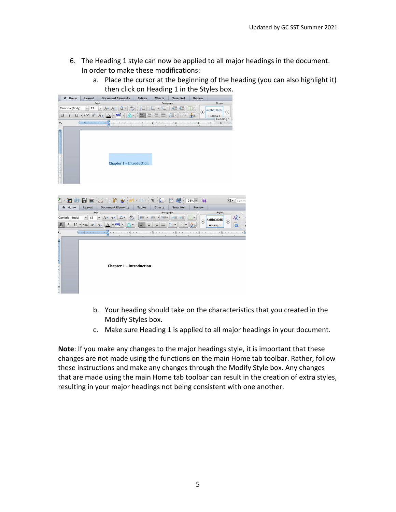- 6. The Heading 1 style can now be applied to all major headings in the document. In order to make these modifications:
	- a. Place the cursor at the beginning of the heading (you can also highlight it) then click on Heading 1 in the Styles box.



- b. Your heading should take on the characteristics that you created in the Modify Styles box.
- c. Make sure Heading 1 is applied to all major headings in your document.

**Note**: If you make any changes to the major headings style, it is important that these changes are not made using the functions on the main Home tab toolbar. Rather, follow these instructions and make any changes through the Modify Style box. Any changes that are made using the main Home tab toolbar can result in the creation of extra styles, resulting in your major headings not being consistent with one another.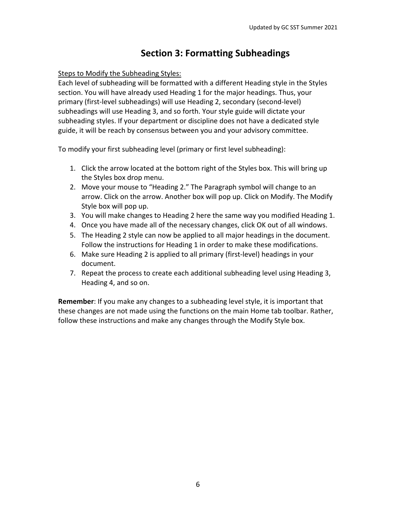# **Section 3: Formatting Subheadings**

### Steps to Modify the Subheading Styles:

Each level of subheading will be formatted with a different Heading style in the Styles section. You will have already used Heading 1 for the major headings. Thus, your primary (first-level subheadings) will use Heading 2, secondary (second-level) subheadings will use Heading 3, and so forth. Your style guide will dictate your subheading styles. If your department or discipline does not have a dedicated style guide, it will be reach by consensus between you and your advisory committee.

To modify your first subheading level (primary or first level subheading):

- 1. Click the arrow located at the bottom right of the Styles box. This will bring up the Styles box drop menu.
- 2. Move your mouse to "Heading 2." The Paragraph symbol will change to an arrow. Click on the arrow. Another box will pop up. Click on Modify. The Modify Style box will pop up.
- 3. You will make changes to Heading 2 here the same way you modified Heading 1.
- 4. Once you have made all of the necessary changes, click OK out of all windows.
- 5. The Heading 2 style can now be applied to all major headings in the document. Follow the instructions for Heading 1 in order to make these modifications.
- 6. Make sure Heading 2 is applied to all primary (first-level) headings in your document.
- 7. Repeat the process to create each additional subheading level using Heading 3, Heading 4, and so on.

**Remember**: If you make any changes to a subheading level style, it is important that these changes are not made using the functions on the main Home tab toolbar. Rather, follow these instructions and make any changes through the Modify Style box.